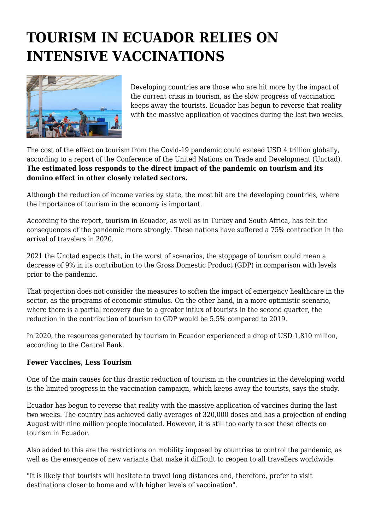## **TOURISM IN ECUADOR RELIES ON INTENSIVE VACCINATIONS**



Developing countries are those who are hit more by the impact of the current crisis in tourism, as the slow progress of vaccination keeps away the tourists. Ecuador has begun to reverse that reality with the massive application of vaccines during the last two weeks.

The cost of the effect on tourism from the Covid-19 pandemic could exceed USD 4 trillion globally, according to a report of the Conference of the United Nations on Trade and Development (Unctad). **The estimated loss responds to the direct impact of the pandemic on tourism and its domino effect in other closely related sectors.**

Although the reduction of income varies by state, the most hit are the developing countries, where the importance of tourism in the economy is important.

According to the report, tourism in Ecuador, as well as in Turkey and South Africa, has felt the consequences of the pandemic more strongly. These nations have suffered a 75% contraction in the arrival of travelers in 2020.

2021 the Unctad expects that, in the worst of scenarios, the stoppage of tourism could mean a decrease of 9% in its contribution to the Gross Domestic Product (GDP) in comparison with levels prior to the pandemic.

That projection does not consider the measures to soften the impact of emergency healthcare in the sector, as the programs of economic stimulus. On the other hand, in a more optimistic scenario, where there is a partial recovery due to a greater influx of tourists in the second quarter, the reduction in the contribution of tourism to GDP would be 5.5% compared to 2019.

In 2020, the resources generated by tourism in Ecuador experienced a drop of USD 1,810 million, according to the Central Bank.

## **Fewer Vaccines, Less Tourism**

One of the main causes for this drastic reduction of tourism in the countries in the developing world is the limited progress in the vaccination campaign, which keeps away the tourists, says the study.

Ecuador has begun to reverse that reality with the massive application of vaccines during the last two weeks. The country has achieved daily averages of 320,000 doses and has a projection of ending August with nine million people inoculated. However, it is still too early to see these effects on tourism in Ecuador.

Also added to this are the restrictions on mobility imposed by countries to control the pandemic, as well as the emergence of new variants that make it difficult to reopen to all travellers worldwide.

"It is likely that tourists will hesitate to travel long distances and, therefore, prefer to visit destinations closer to home and with higher levels of vaccination".